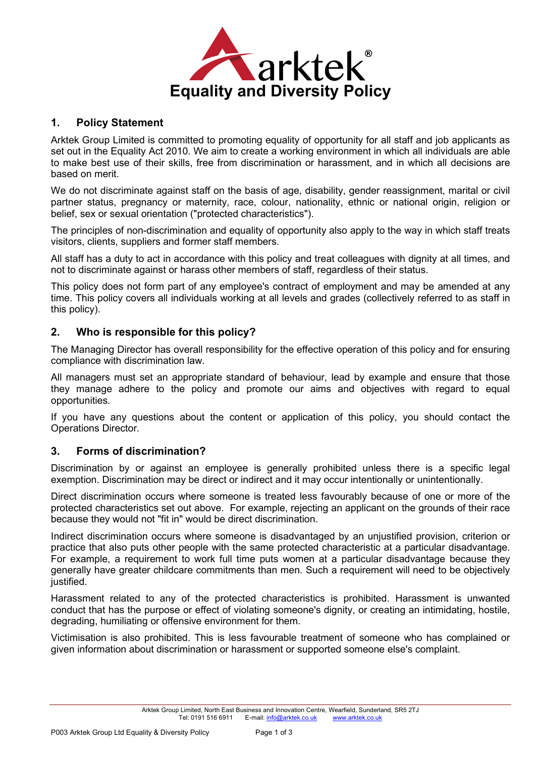

#### **1. Policy Statement**

Arktek Group Limited is committed to promoting equality of opportunity for all staff and job applicants as set out in the Equality Act 2010. We aim to create a working environment in which all individuals are able to make best use of their skills, free from discrimination or harassment, and in which all decisions are based on merit.

We do not discriminate against staff on the basis of age, disability, gender reassignment, marital or civil partner status, pregnancy or maternity, race, colour, nationality, ethnic or national origin, religion or belief, sex or sexual orientation ("protected characteristics").

The principles of non-discrimination and equality of opportunity also apply to the way in which staff treats visitors, clients, suppliers and former staff members.

All staff has a duty to act in accordance with this policy and treat colleagues with dignity at all times, and not to discriminate against or harass other members of staff, regardless of their status.

This policy does not form part of any employee's contract of employment and may be amended at any time. This policy covers all individuals working at all levels and grades (collectively referred to as staff in this policy).

#### **2. Who is responsible for this policy?**

The Managing Director has overall responsibility for the effective operation of this policy and for ensuring compliance with discrimination law.

All managers must set an appropriate standard of behaviour, lead by example and ensure that those they manage adhere to the policy and promote our aims and objectives with regard to equal opportunities.

If you have any questions about the content or application of this policy, you should contact the Operations Director.

# **3. Forms of discrimination?**

Discrimination by or against an employee is generally prohibited unless there is a specific legal exemption. Discrimination may be direct or indirect and it may occur intentionally or unintentionally.

Direct discrimination occurs where someone is treated less favourably because of one or more of the protected characteristics set out above. For example, rejecting an applicant on the grounds of their race because they would not "fit in" would be direct discrimination.

Indirect discrimination occurs where someone is disadvantaged by an unjustified provision, criterion or practice that also puts other people with the same protected characteristic at a particular disadvantage. For example, a requirement to work full time puts women at a particular disadvantage because they generally have greater childcare commitments than men. Such a requirement will need to be objectively justified.

Harassment related to any of the protected characteristics is prohibited. Harassment is unwanted conduct that has the purpose or effect of violating someone's dignity, or creating an intimidating, hostile, degrading, humiliating or offensive environment for them.

Victimisation is also prohibited. This is less favourable treatment of someone who has complained or given information about discrimination or harassment or supported someone else's complaint.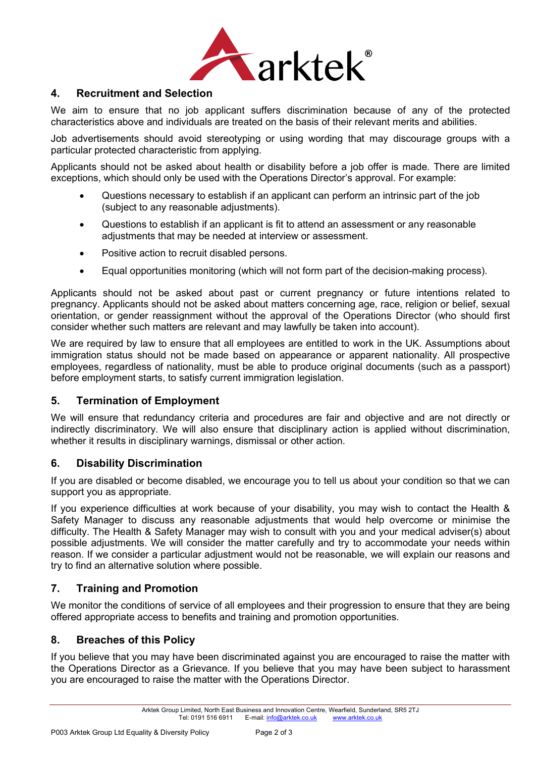

# **4. Recruitment and Selection**

We aim to ensure that no job applicant suffers discrimination because of any of the protected characteristics above and individuals are treated on the basis of their relevant merits and abilities.

Job advertisements should avoid stereotyping or using wording that may discourage groups with a particular protected characteristic from applying.

Applicants should not be asked about health or disability before a job offer is made. There are limited exceptions, which should only be used with the Operations Director's approval. For example:

- Questions necessary to establish if an applicant can perform an intrinsic part of the job (subject to any reasonable adjustments).
- Questions to establish if an applicant is fit to attend an assessment or any reasonable adjustments that may be needed at interview or assessment.
- Positive action to recruit disabled persons.
- Equal opportunities monitoring (which will not form part of the decision-making process).

Applicants should not be asked about past or current pregnancy or future intentions related to pregnancy. Applicants should not be asked about matters concerning age, race, religion or belief, sexual orientation, or gender reassignment without the approval of the Operations Director (who should first consider whether such matters are relevant and may lawfully be taken into account).

We are required by law to ensure that all employees are entitled to work in the UK. Assumptions about immigration status should not be made based on appearance or apparent nationality. All prospective employees, regardless of nationality, must be able to produce original documents (such as a passport) before employment starts, to satisfy current immigration legislation.

# **5. Termination of Employment**

We will ensure that redundancy criteria and procedures are fair and objective and are not directly or indirectly discriminatory. We will also ensure that disciplinary action is applied without discrimination, whether it results in disciplinary warnings, dismissal or other action.

# **6. Disability Discrimination**

If you are disabled or become disabled, we encourage you to tell us about your condition so that we can support you as appropriate.

If you experience difficulties at work because of your disability, you may wish to contact the Health & Safety Manager to discuss any reasonable adjustments that would help overcome or minimise the difficulty. The Health & Safety Manager may wish to consult with you and your medical adviser(s) about possible adjustments. We will consider the matter carefully and try to accommodate your needs within reason. If we consider a particular adjustment would not be reasonable, we will explain our reasons and try to find an alternative solution where possible.

# **7. Training and Promotion**

We monitor the conditions of service of all employees and their progression to ensure that they are being offered appropriate access to benefits and training and promotion opportunities.

#### **8. Breaches of this Policy**

If you believe that you may have been discriminated against you are encouraged to raise the matter with the Operations Director as a Grievance. If you believe that you may have been subject to harassment you are encouraged to raise the matter with the Operations Director.